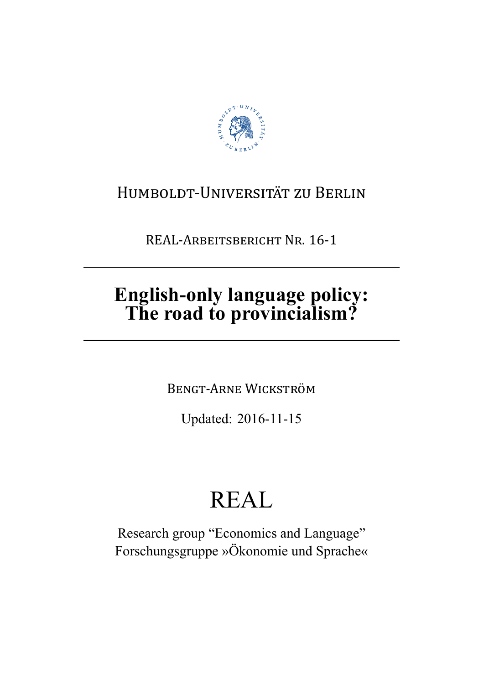

# HUMBOLDT-UNIVERSITÄT ZU BERLIN

REAL-ARBEITSBERICHT NR. 16-1

# English-only language policy:<br>The road to provincialism?

**BENGT-ARNE WICKSTRÖM** 

Updated: 2016-11-15

# **REAL**

Research group "Economics and Language" Forschungsgruppe »Ökonomie und Sprache«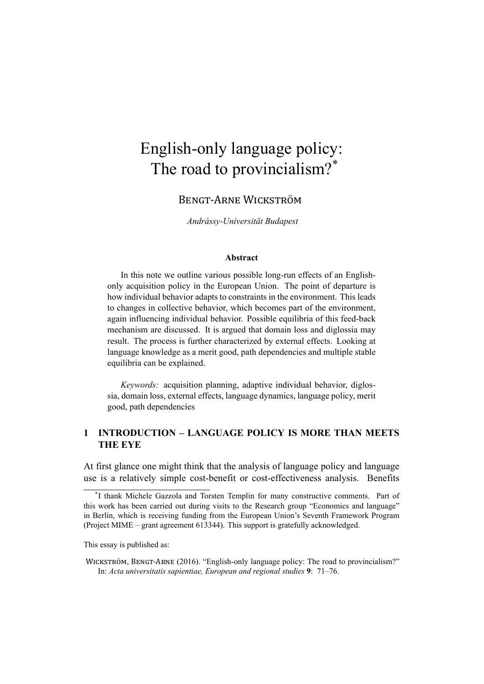# English-only language policy: The road to provincialism?<sup>\*</sup>

BENGT-ARNE WICKSTRÖM

*Andrássy-Universität Budapest*

### **Abstract**

In this note we outline various possible long-run effects of an Englishonly acquisition policy in the European Union. The point of departure is how individual behavior adapts to constraints in the environment. This leads to changes in collective behavior, which becomes part of the environment, again influencing individual behavior. Possible equilibria of this feed-back mechanism are discussed. It is argued that domain loss and diglossia may result. The process is further characterized by external effects. Looking at language knowledge as a merit good, path dependencies and multiple stable equilibria can be explained.

*Keywords:* acquisition planning, adaptive individual behavior, diglossia, domain loss, external effects, language dynamics, language policy, merit good, path dependencies

# **1 INTRODUCTION – LANGUAGE POLICY IS MORE THAN MEETS THE EYE**

At first glance one might think that the analysis of language policy and language use is a relatively simple cost-benefit or cost-effectiveness analysis. Benefits

This essay is published as:

<sup>\*</sup> I thank Michele Gazzola and Torsten Templin for many constructive comments. Part of this work has been carried out during visits to the Research group "Economics and language" in Berlin, which is receiving funding from the European Union's Seventh Framework Program (Project MIME – grant agreement 613344). This support is gratefully acknowledged.

WICKSTRÖM, BENGT-ARNE (2016). "English-only language policy: The road to provincialism?" In: *Acta universitatis sapientiae, European and regional studies* **9**: 71–76.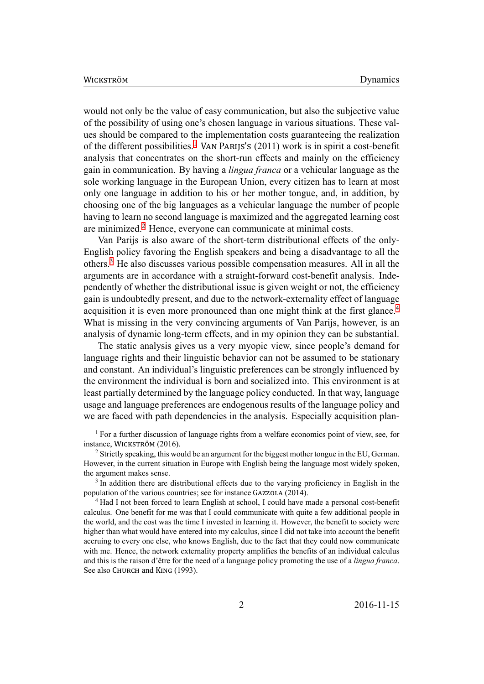would not only be the value of easy communication, but also the subjective value of the possibility of using one's chosen language in various situations. These values should be compared to the implementation costs guaranteeing the realization of the different possibilities.<sup>1</sup> VAN PARIJS'S (2011) work is in spirit a cost-benefit analysis that concentrates on the short-run effects and mainly on the efficiency gain in communication. By having a *lingua franca* or a vehicular language as the sole working language in th[e](#page-2-0) European Union, every citizen has to learn at most only one language in addition to his or her mother tongue, and, in addition, by choosing one of the big languages as a vehicular language the number of people having to learn no second language is maximized and the aggregated learning cost are minimized.<sup>2</sup> Hence, everyone can communicate at minimal costs.

Van Parijs is also aware of the short-term distributional effects of the only-English policy favoring the English speakers and being a disadvantage to all the others.<sup>3</sup> He als[o](#page-2-1) discusses various possible compensation measures. All in all the arguments are in accordance with a straight-forward cost-benefit analysis. Independently of whether the distributional issue is given weight or not, the efficiency gain is [u](#page-2-2)ndoubtedly present, and due to the network-externality effect of language acquisition it is even more pronounced than one might think at the first glance.<sup>4</sup> What is missing in the very convincing arguments of Van Parijs, however, is an analysis of dynamic long-term effects, and in my opinion they can be substantial.

The static analysis gives us a very myopic view, since people's demand f[or](#page-2-3) language rights and their linguistic behavior can not be assumed to be stationary and constant. An individual's linguistic preferences can be strongly influenced by the environment the individual is born and socialized into. This environment is at least partially determined by the language policy conducted. In that way, language usage and language preferences are endogenous results of the language policy and we are faced with path dependencies in the analysis. Especially acquisition plan-

<sup>&</sup>lt;sup>1</sup> For a further discussion of language rights from a welfare economics point of view, see, for instance, WICKSTRÖM (2016).

<sup>&</sup>lt;sup>2</sup> Strictly speaking, this would be an argument for the biggest mother tongue in the EU, German. However, in the current situation in Europe with English being the language most widely spoken, the argument makes sense.

<span id="page-2-1"></span><span id="page-2-0"></span><sup>&</sup>lt;sup>3</sup> In addition there are distributional effects due to the varying proficiency in English in the population of the various countries; see for instance GAZZOLA (2014).

<span id="page-2-3"></span><span id="page-2-2"></span><sup>4</sup> Had I not been forced to learn English at school, I could have made a personal cost-benefit calculus. One benefit for me was that I could communicate with quite a few additional people in the world, and the cost was the time I invested in learning it. However, the benefit to society were higher than what would have entered into my calculus, since I did not take into account the benefit accruing to every one else, who knows English, due to the fact that they could now communicate with me. Hence, the network externality property amplifies the benefits of an individual calculus and this is the raison d'être for the need of a language policy promoting the use of a *lingua franca*. See also CHURCH and KING (1993).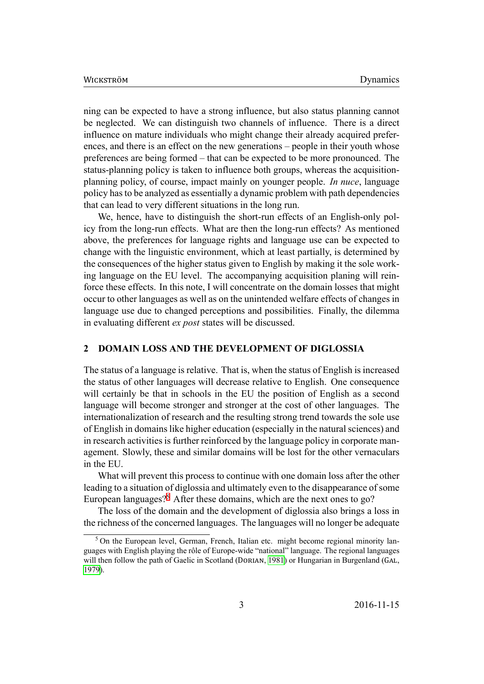ning can be expected to have a strong influence, but also status planning cannot be neglected. We can distinguish two channels of influence. There is a direct influence on mature individuals who might change their already acquired preferences, and there is an effect on the new generations – people in their youth whose preferences are being formed – that can be expected to be more pronounced. The status-planning policy is taken to influence both groups, whereas the acquisitionplanning policy, of course, impact mainly on younger people. *In nuce*, language policy has to be analyzed as essentially a dynamic problem with path dependencies that can lead to very different situations in the long run.

We, hence, have to distinguish the short-run effects of an English-only policy from the long-run effects. What are then the long-run effects? As mentioned above, the preferences for language rights and language use can be expected to change with the linguistic environment, which at least partially, is determined by the consequences of the higher status given to English by making it the sole working language on the EU level. The accompanying acquisition planing will reinforce these effects. In this note, I will concentrate on the domain losses that might occur to other languages as well as on the unintended welfare effects of changes in language use due to changed perceptions and possibilities. Finally, the dilemma in evaluating different *ex post* states will be discussed.

# **2 DOMAIN LOSS AND THE DEVELOPMENT OF DIGLOSSIA**

<span id="page-3-1"></span>The status of a language is relative. That is, when the status of English is increased the status of other languages will decrease relative to English. One consequence will certainly be that in schools in the EU the position of English as a second language will become stronger and stronger at the cost of other languages. The internationalization of research and the resulting strong trend towards the sole use of English in domains like higher education (especially in the natural sciences) and in research activities is further reinforced by the language policy in corporate management. Slowly, these and similar domains will be lost for the other vernaculars in the EU.

What will prevent this process to continue with one domain loss after the other leading to a situation of diglossia and ultimately even to the disappearance of some European languages?<sup>5</sup> After these domains, which are the next ones to go?

The loss of the domain and the development of diglossia also brings a loss in the richness of the concerned languages. The languages will no longer be adequate

<span id="page-3-0"></span><sup>&</sup>lt;sup>5</sup> On the European le[ve](#page-3-0)l, German, French, Italian etc. might become regional minority languages with English playing the rôle of Europe-wide "national" language. The regional languages will then follow the path of Gaelic in Scotland (DORIAN, 1981) or Hungarian in Burgenland (GAL, 1979).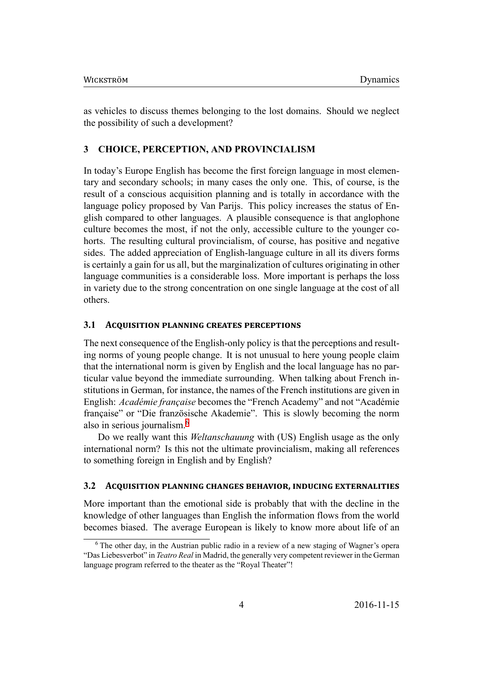as vehicles to discuss themes belonging to the lost domains. Should we neglect the possibility of such a development?

#### **CHOICE, PERCEPTION, AND PROVINCIALISM**  $\mathbf{3}$

In today's Europe English has become the first foreign language in most elementary and secondary schools; in many cases the only one. This, of course, is the result of a conscious acquisition planning and is totally in accordance with the language policy proposed by Van Parijs. This policy increases the status of English compared to other languages. A plausible consequence is that anglophone culture becomes the most, if not the only, accessible culture to the younger cohorts. The resulting cultural provincialism, of course, has positive and negative sides. The added appreciation of English-language culture in all its divers forms is certainly a gain for us all, but the marginalization of cultures originating in other language communities is a considerable loss. More important is perhaps the loss in variety due to the strong concentration on one single language at the cost of all others.

#### **ACQUISITION PLANNING CREATES PERCEPTIONS** 3.1

The next consequence of the English-only policy is that the perceptions and resulting norms of young people change. It is not unusual to here young people claim that the international norm is given by English and the local language has no particular value beyond the immediate surrounding. When talking about French institutions in German, for instance, the names of the French institutions are given in English: Académie française becomes the "French Academy" and not "Académie française" or "Die französische Akademie". This is slowly becoming the norm also in serious journalism.<sup>6</sup>

Do we really want this Weltanschauung with (US) English usage as the only international norm? Is this not the ultimate provincialism, making all references to something foreign in English and by English?

#### $3.2$ ACQUISITION PLANNING CHANGES BEHAVIOR, INDUCING EXTERNALITIES

More important than the emotional side is probably that with the decline in the knowledge of other languages than English the information flows from the world becomes biased. The average European is likely to know more about life of an

<span id="page-4-0"></span><sup>&</sup>lt;sup>6</sup> The other day, in the Austrian public radio in a review of a new staging of Wagner's opera "Das Liebesverbot" in Teatro Real in Madrid, the generally very competent reviewer in the German language program referred to the theater as the "Royal Theater"!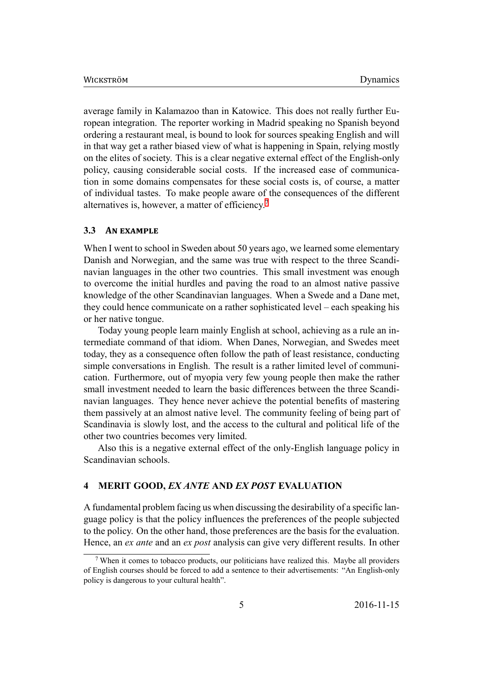average family in Kalamazoo than in Katowice. This does not really further European integration. The reporter working in Madrid speaking no Spanish beyond ordering a restaurant meal, is bound to look for sources speaking English and will in that way get a rather biased view of what is happening in Spain, relying mostly on the elites of society. This is a clear negative external effect of the English-only policy, causing considerable social costs. If the increased ease of communication in some domains compensates for these social costs is, of course, a matter of individual tastes. To make people aware of the consequences of the different alternatives is, however, a matter of efficiency.<sup>7</sup>

### **3.3** AN EXAMPLE

When I went to school in Sweden about 50 yea[rs](#page-5-0) ago, we learned some elementary Danish and Norwegian, and the same was true with respect to the three Scandinavian languages in the other two countries. This small investment was enough to overcome the initial hurdles and paving the road to an almost native passive knowledge of the other Scandinavian languages. When a Swede and a Dane met, they could hence communicate on a rather sophisticated level – each speaking his or her native tongue.

Today young people learn mainly English at school, achieving as a rule an intermediate command of that idiom. When Danes, Norwegian, and Swedes meet today, they as a consequence often follow the path of least resistance, conducting simple conversations in English. The result is a rather limited level of communication. Furthermore, out of myopia very few young people then make the rather small investment needed to learn the basic differences between the three Scandinavian languages. They hence never achieve the potential benefits of mastering them passively at an almost native level. The community feeling of being part of Scandinavia is slowly lost, and the access to the cultural and political life of the other two countries becomes very limited.

Also this is a negative external effect of the only-English language policy in Scandinavian schools.

## **4 MERIT GOOD,** *EX ANTE* **AND** *EX POST* **EVALUATION**

A fundamental problem facing us when discussing the desirability of a specific language policy is that the policy influences the preferences of the people subjected to the policy. On the other hand, those preferences are the basis for the evaluation. Hence, an *ex ante* and an *ex post* analysis can give very different results. In other

<span id="page-5-0"></span> $7$  When it comes to tobacco products, our politicians have realized this. Maybe all providers of English courses should be forced to add a sentence to their advertisements: "An English-only policy is dangerous to your cultural health".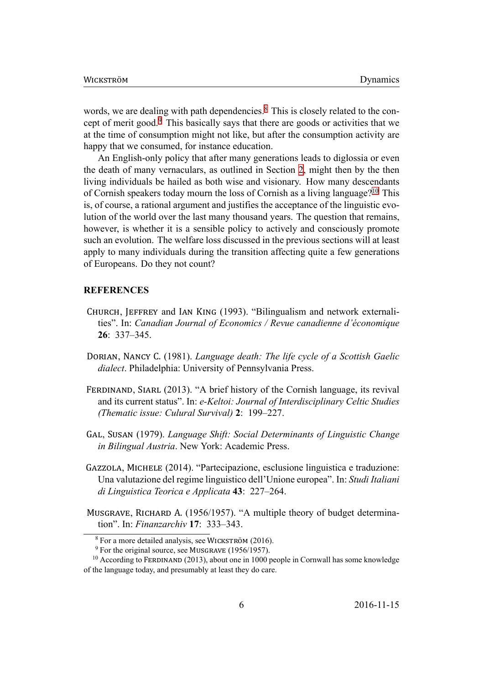words, we are dealing with path dependencies.<sup>8</sup> This is closely related to the concept of merit good.<sup>9</sup> This basically says that there are goods or activities that we at the time of consumption might not like, but after the consumption activity are happy that we consumed, for instance education.

An English-only policy that after many generations leads to diglossia or even the death of many vernaculars, as outlined in Section 2, might then by the then living individuals be hailed as both wise and visionary. How many descendants of Cornish speakers today mourn the loss of Cornish as a living language?<sup>10</sup> This is, of course, a rational argument and justifies the acceptance of the linguistic evolution of the world over the last many thousand years. The question that remains, however, is whether it is a sensible policy to actively and consciously promote such an evolution. The welfare loss discussed in the previous sections will at least apply to many individuals during the transition affecting quite a few generations of Europeans. Do they not count?

## **REFERENCES**

- CHURCH, JEFFREY and IAN KING (1993). "Bilingualism and network externalities". In: Canadian Journal of Economics / Revue canadienne d'économique  $26: 337 - 345.$
- DORIAN, NANCY C. (1981). Language death: The life cycle of a Scottish Gaelic *dialect*. Philadelphia: University of Pennsylvania Press.
- FERDINAND, SIARL (2013). "A brief history of the Cornish language, its revival and its current status". In: e-Keltoi: Journal of Interdisciplinary Celtic Studies (Thematic issue: Culural Survival) 2: 199–227.
- GAL, SUSAN (1979). Language Shift: Social Determinants of Linguistic Change in Bilingual Austria. New York: Academic Press.
- GAZZOLA, MICHELE (2014). "Partecipazione, esclusione linguistica e traduzione: Una valutazione del regime linguistico dell'Unione europea". In: Studi Italiani di Linguistica Teorica e Applicata 43: 227-264.
- MUSGRAVE, RICHARD A. (1956/1957). "A multiple theory of budget determination". In: Finanzarchiv  $17: 333-343$ .

 $8$  For a more detailed analysis, see WICKSTRÖM (2016).

 $9$  For the original source, see MUSGRAVE (1956/1957).

<span id="page-6-2"></span><span id="page-6-1"></span><span id="page-6-0"></span><sup>&</sup>lt;sup>10</sup> According to FERDINAND (2013), about one in 1000 people in Cornwall has some knowledge of the language today, and presumably at least they do care.